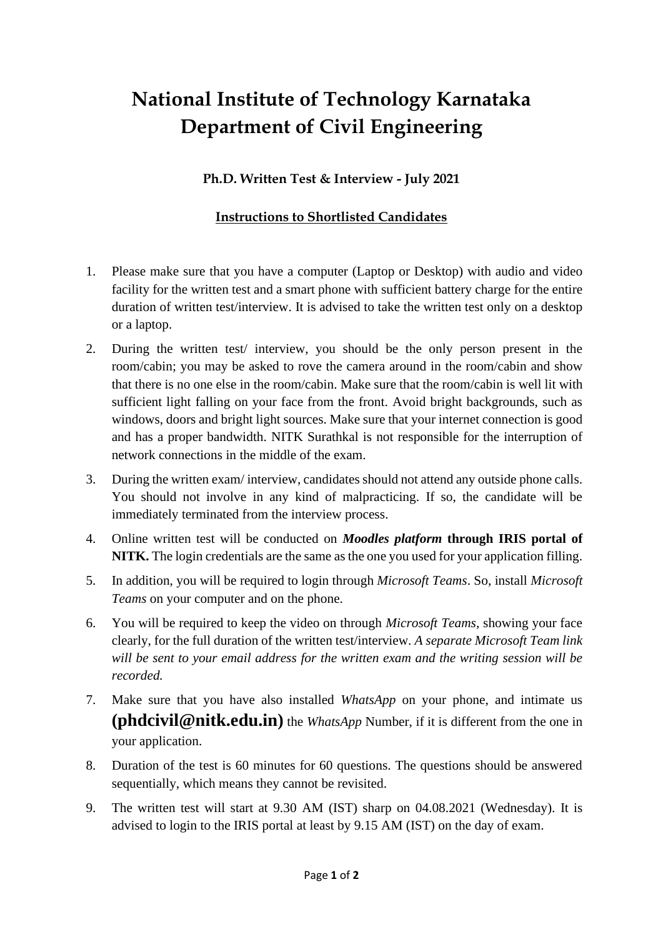## **National Institute of Technology Karnataka Department of Civil Engineering**

## **Ph.D. Written Test & Interview - July 2021**

## **Instructions to Shortlisted Candidates**

- 1. Please make sure that you have a computer (Laptop or Desktop) with audio and video facility for the written test and a smart phone with sufficient battery charge for the entire duration of written test/interview. It is advised to take the written test only on a desktop or a laptop.
- 2. During the written test/ interview, you should be the only person present in the room/cabin; you may be asked to rove the camera around in the room/cabin and show that there is no one else in the room/cabin. Make sure that the room/cabin is well lit with sufficient light falling on your face from the front. Avoid bright backgrounds, such as windows, doors and bright light sources. Make sure that your internet connection is good and has a proper bandwidth. NITK Surathkal is not responsible for the interruption of network connections in the middle of the exam.
- 3. During the written exam/ interview, candidates should not attend any outside phone calls. You should not involve in any kind of malpracticing. If so, the candidate will be immediately terminated from the interview process.
- 4. Online written test will be conducted on *Moodles platform* **through IRIS portal of NITK.** The login credentials are the same as the one you used for your application filling.
- 5. In addition, you will be required to login through *Microsoft Teams*. So, install *Microsoft Teams* on your computer and on the phone.
- 6. You will be required to keep the video on through *Microsoft Teams*, showing your face clearly, for the full duration of the written test/interview. *A separate Microsoft Team link will be sent to your email address for the written exam and the writing session will be recorded.*
- 7. Make sure that you have also installed *WhatsApp* on your phone, and intimate us **(phdcivil@nitk.edu.in)** the *WhatsApp* Number, if it is different from the one in your application.
- 8. Duration of the test is 60 minutes for 60 questions. The questions should be answered sequentially, which means they cannot be revisited.
- 9. The written test will start at 9.30 AM (IST) sharp on 04.08.2021 (Wednesday). It is advised to login to the IRIS portal at least by 9.15 AM (IST) on the day of exam.